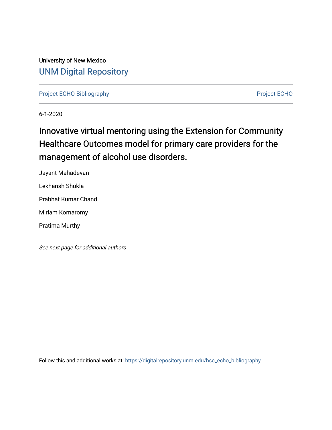University of New Mexico [UNM Digital Repository](https://digitalrepository.unm.edu/) 

[Project ECHO Bibliography](https://digitalrepository.unm.edu/hsc_echo_bibliography) **Project ECHO** 

6-1-2020

# Innovative virtual mentoring using the Extension for Community Healthcare Outcomes model for primary care providers for the management of alcohol use disorders.

Jayant Mahadevan

Lekhansh Shukla

Prabhat Kumar Chand

Miriam Komaromy

Pratima Murthy

See next page for additional authors

Follow this and additional works at: [https://digitalrepository.unm.edu/hsc\\_echo\\_bibliography](https://digitalrepository.unm.edu/hsc_echo_bibliography?utm_source=digitalrepository.unm.edu%2Fhsc_echo_bibliography%2F150&utm_medium=PDF&utm_campaign=PDFCoverPages)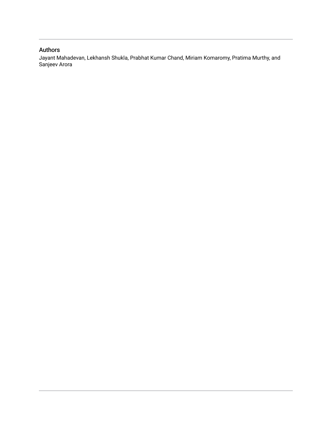### Authors

Jayant Mahadevan, Lekhansh Shukla, Prabhat Kumar Chand, Miriam Komaromy, Pratima Murthy, and Sanjeev Arora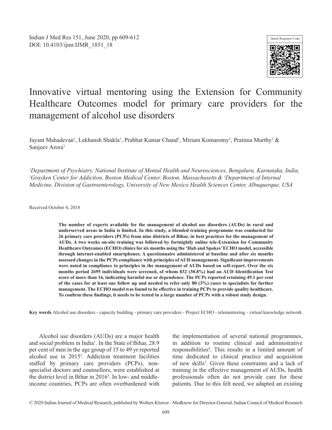

## Innovative virtual mentoring using the Extension for Community Healthcare Outcomes model for primary care providers for the management of alcohol use disorders

Jayant Mahadevan<sup>1</sup>, Lekhansh Shukla<sup>1</sup>, Prabhat Kumar Chand<sup>1</sup>, Miriam Komaromy<sup>2</sup>, Pratima Murthy<sup>1</sup> & Sanjeev Arora3

*1 Department of Psychiatry, National Institute of Mental Health and Neurosciences, Bengaluru, Karnataka, India, 2 Grayken Center for Addiction, Boston Medical Center, Boston, Massachusetts& 3 Department of Internal Medicine, Division of Gastroenterology, University of New Mexico Health Sciences Center, Albuquerque, USA*

Received October 4, 2018

**The number of experts available for the management of alcohol use disorders (AUDs) in rural and underserved areas in India is limited. In this study, a blended training programme was conducted for 26 primary care providers (PCPs) from nine districts of Bihar, in best practices for the management of AUDs. A two weeks on-site training was followed by fortnightly online tele-Extension for Community Healthcare Outcomes (ECHO) clinics for six months using the 'Hub and Spokes' ECHO model, accessible through internet-enabled smartphones. A questionnaire administered at baseline and after six months assessed changes in the PCPs compliance with principles of AUD management. Significant improvements were noted in compliance to principles in the management of AUDs based on self-report. Over the six months period 2695 individuals were screened, of whom 832 (30.8%) had an AUD Identification Test score of more than 16, indicating harmful use or dependence. The PCPs reported retaining 49.1 per cent of the cases for at least one follow up and needed to refer only 80 (3%) cases to specialists for further management. The ECHO model was found to be effective in training PCPs to provide quality healthcare. To confirm these findings, it needs to be tested in a large number of PCPs with a robust study design.** 

**Key words** Alcohol use disorders - capacity building - primary care providers - Project ECHO - telementoring - virtual knowledge network

Alcohol use disorders (AUDs) are a major health and social problem in India<sup>1</sup>. In the State of Bihar, 28.9 per cent of men in the age group of 15 to 49 yr reported alcohol use in 20152 . Addiction treatment facilities staffed by primary care providers (PCPs), nonspecialist doctors and counsellors, were established at the district level in Bihar in 20163 . In low- and middleincome countries, PCPs are often overburdened with

the implementation of several national programmes, in addition to routine clinical and administrative responsibilities<sup>4</sup>. This results in a limited amount of time dedicated to clinical practice and acquisition of new skills<sup>5</sup>. Given these constraints and a lack of training in the effective management of AUDs, health professionals often do not provide care for these patients. Due to this felt need, we adapted an existing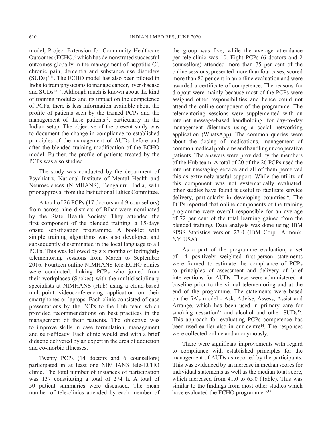model, Project Extension for Community Healthcare Outcomes (ECHO)<sup>6</sup> which has demonstrated successful outcomes globally in the management of hepatitis  $C^7$ , chronic pain, dementia and substance use disorders  $(SUDs)^{8-11}$ . The ECHO model has also been piloted in India to train physicians to manage cancer, liver disease and SUDs<sup>12-14</sup>. Although much is known about the kind of training modules and its impact on the competence of PCPs, there is less information available about the profile of patients seen by the trained PCPs and the management of these patients<sup>15</sup>, particularly in the Indian setup. The objective of the present study was to document the change in compliance to established principles of the management of AUDs before and after the blended training modification of the ECHO model. Further, the profile of patients treated by the PCPs was also studied.

The study was conducted by the department of Psychiatry, National Institute of Mental Health and Neurosciences (NIMHANS), Bengaluru, India, with prior approval from the Institutional Ethics Committee.

A total of 26 PCPs (17 doctors and 9 counsellors) from across nine districts of Bihar were nominated by the State Health Society. They attended the first component of the blended training, a 15-days onsite sensitization programme. A booklet with simple training algorithms was also developed and subsequently disseminated in the local language to all PCPs. This was followed by six months of fortnightly telementoring sessions from March to September 2016. Fourteen online NIMHANS tele-ECHO clinics were conducted, linking PCPs who joined from their workplaces (Spokes) with the multidisciplinary specialists at NIMHANS (Hub) using a cloud-based multipoint videoconferencing application on their smartphones or laptops. Each clinic consisted of case presentations by the PCPs to the Hub team which provided recommendations on best practices in the management of their patients. The objective was to improve skills in case formulation, management and self-efficacy. Each clinic would end with a brief didactic delivered by an expert in the area of addiction and co-morbid illnesses.

Twenty PCPs (14 doctors and 6 counsellors) participated in at least one NIMHANS tele-ECHO clinic. The total number of instances of participation was 137 constituting a total of 274 h. A total of 50 patient summaries were discussed. The mean number of tele-clinics attended by each member of

the group was five, while the average attendance per tele-clinic was 10. Eight PCPs (6 doctors and 2 counsellors) attended more than 75 per cent of the online sessions, presented more than four cases, scored more than 80 per cent in an online evaluation and were awarded a certificate of competence. The reasons for dropout were mainly because most of the PCPs were assigned other responsibilities and hence could not attend the online component of the programme. The telementoring sessions were supplemented with an internet message-based handholding, for day-to-day management dilemmas using a social networking application (WhatsApp). The common queries were about the dosing of medications, management of common medical problems and handling uncooperative patients. The answers were provided by the members of the Hub team. A total of 20 of the 26 PCPs used the internet messaging service and all of them perceived this as extremely useful support. While the utility of this component was not systematically evaluated, other studies have found it useful to facilitate service delivery, particularly in developing countries<sup>16</sup>. The PCPs reported that online components of the training programme were overall responsible for an average of 72 per cent of the total learning gained from the blended training. Data analysis was done using IBM SPSS Statistics version 23.0 (IBM Corp., Armonk, NY, USA).

As a part of the programme evaluation, a set of 14 positively weighted first-person statements were framed to estimate the compliance of PCPs to principles of assessment and delivery of brief interventions for AUDs. These were administered at baseline prior to the virtual telementoring and at the end of the programme. The statements were based on the 5A's model - Ask, Advise, Assess, Assist and Arrange, which has been used in primary care for smoking cessation<sup>17</sup> and alcohol and other SUDs<sup>18</sup>. This approach for evaluating PCPs competence has been used earlier also in our centre<sup>14</sup>. The responses were collected online and anonymously.

There were significant improvements with regard to compliance with established principles for the management of AUDs as reported by the participants. This was evidenced by an increase in median scores for individual statements as well as the median total score, which increased from 41.0 to 65.0 (Table). This was similar to the findings from most other studies which have evaluated the ECHO programme<sup>15,19</sup>.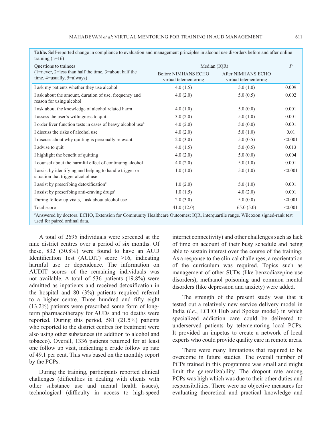**Table.** Self-reported change in compliance to evaluation and management principles in alcohol use disorders before and after online

| training $(n=16)$<br>Questions to trainees<br>(1=never, 2=less than half the time, 3=about half the<br>time, $4$ =usually, $5$ =always)                       | Median (IQR)                                 |                                             | $\overline{P}$ |
|---------------------------------------------------------------------------------------------------------------------------------------------------------------|----------------------------------------------|---------------------------------------------|----------------|
|                                                                                                                                                               | Before NIMHANS ECHO<br>virtual telementoring | After NIMHANS ECHO<br>virtual telementoring |                |
| I ask my patients whether they use alcohol                                                                                                                    | 4.0(1.5)                                     | 5.0(1.0)                                    | 0.009          |
| I ask about the amount, duration of use, frequency and<br>reason for using alcohol                                                                            | 4.0(2.0)                                     | 5.0(0.5)                                    | 0.002          |
| I ask about the knowledge of alcohol related harm                                                                                                             | 4.0(1.0)                                     | 5.0(0.0)                                    | 0.001          |
| I assess the user's willingness to quit                                                                                                                       | 3.0(2.0)                                     | 5.0(1.0)                                    | 0.001          |
| I order liver function tests in cases of heavy alcohol use <sup>#</sup>                                                                                       | 4.0(2.0)                                     | 5.0(0.0)                                    | 0.001          |
| I discuss the risks of alcohol use                                                                                                                            | 4.0(2.0)                                     | 5.0(1.0)                                    | 0.01           |
| I discuss about why quitting is personally relevant                                                                                                           | 2.0(3.0)                                     | 5.0(0.5)                                    | < 0.001        |
| I advise to quit                                                                                                                                              | 4.0(1.5)                                     | 5.0(0.5)                                    | 0.013          |
| I highlight the benefit of quitting                                                                                                                           | 4.0(2.0)                                     | 5.0(0.0)                                    | 0.004          |
| I counsel about the harmful effect of continuing alcohol                                                                                                      | 4.0(2.0)                                     | 5.0(1.0)                                    | 0.001          |
| I assist by identifying and helping to handle trigger or<br>situation that trigger alcohol use                                                                | 1.0(1.0)                                     | 5.0(1.0)                                    | < 0.001        |
| I assist by prescribing detoxification <sup>#</sup>                                                                                                           | 1.0(2.0)                                     | 5.0(1.0)                                    | 0.001          |
| I assist by prescribing anti-craving drugs <sup>#</sup>                                                                                                       | 1.0(1.5)                                     | 4.0(2.0)                                    | 0.001          |
| During follow up visits, I ask about alcohol use                                                                                                              | 2.0(3.0)                                     | 5.0(0.0)                                    | < 0.001        |
| Total score                                                                                                                                                   | 41.0(12.0)                                   | 65.0(5.0)                                   | < 0.001        |
| #Answered by doctors. ECHO, Extension for Community Healthcare Outcomes; IQR, interquartile range. Wilcoxon signed-rank test<br>used for paired ordinal data. |                                              |                                             |                |

nine district centres over a period of six months. Of these, 832 (30.8%) were found to have an AUD Identification Test (AUDIT) score >16, indicating harmful use or dependence. The information on AUDIT scores of the remaining individuals was not available. A total of 536 patients (19.8%) were admitted as inpatients and received detoxification in the hospital and 80 (3%) patients required referral to a higher centre. Three hundred and fifty eight (13.2%) patients were prescribed some form of longterm pharmacotherapy for AUDs and no deaths were reported. During this period, 581 (21.5%) patients who reported to the district centres for treatment were also using other substances (in addition to alcohol and tobacco). Overall, 1336 patients returned for at least one follow up visit, indicating a crude follow up rate of 49.1 per cent. This was based on the monthly report by the PCPs.

A total of 2695 individuals were screened at the

During the training, participants reported clinical challenges (difficulties in dealing with clients with other substance use and mental health issues), technological (difficulty in access to high-speed internet connectivity) and other challenges such as lack of time on account of their busy schedule and being able to sustain interest over the course of the training. As a response to the clinical challenges, a reorientation of the curriculum was required. Topics such as management of other SUDs (like benzodiazepine use disorders), methanol poisoning and common mental disorders (like depression and anxiety) were added.

The strength of the present study was that it tested out a relatively new service delivery model in India (*i.e*., ECHO Hub and Spokes model) in which specialized addiction care could be delivered to underserved patients by telementoring local PCPs. It provided an impetus to create a network of local experts who could provide quality care in remote areas.

There were many limitations that required to be overcome in future studies. The overall number of PCPs trained in this programme was small and might limit the generalizability. The dropout rate among PCPs was high which was due to their other duties and responsibilities. There were no objective measures for evaluating theoretical and practical knowledge and